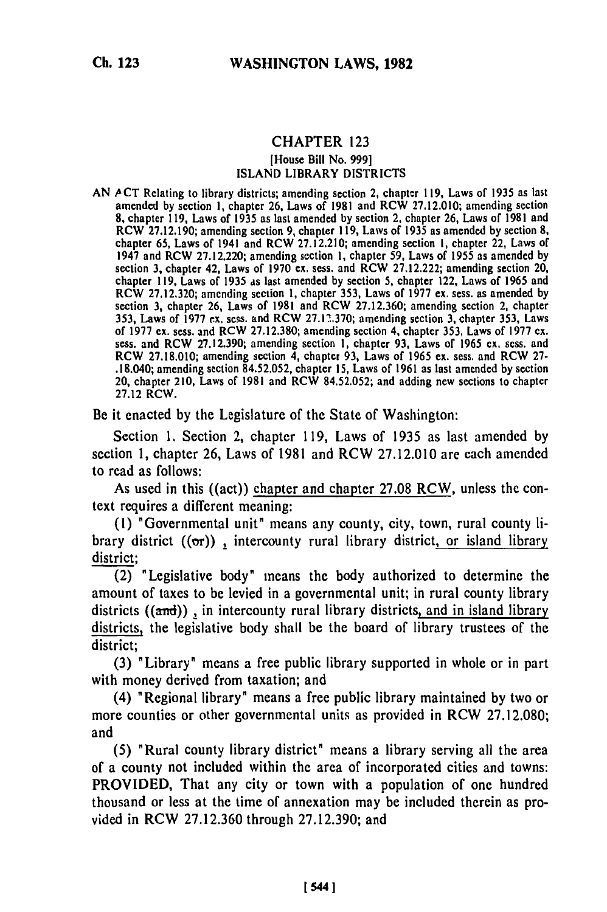## CHAPTER **123** [House Bill No. 999] ISLAND LIBRARY DISTRICTS

**AN ACT** Relating to library districts; amending section 2, chapter **119,** Laws of 1935 as last amended **by** section **I,** chapter **26,** Laws of **1981** and RCW **27.12.010;** amending section **8,** chapter **119,** Laws of **1935** as last amended **by** section 2, chapter **26,** Laws of **1981** and RCW **27.12.190;** amending section **9,** chapter **119,** Laws of **1935** as amended **by** section **8,** chapter **65,** Laws of 1941 and RCW **27.12.210;** amending section **i,** chapter 22, Laws of 1947 and RCW **27.12.220;** amending section **1,** chapter **59,** Laws of **1955** as amended **by** section **3,** chapter 42, Laws of **1970** ex. sess. and RCW **27.12.222;** amending section 20, chapter **119,** Laws of **1935** as last amended **by** section **5,** chapter 122, Laws of **1965** and RCW 27.12.320; amending section 1, chapter 353, Laws of 1977 ex. sess. as amended by section 3, chapter 26, Laws of 1981 and RCW 27.12.360; amending section 2, chapter **353,** Laws of **1977** ex. sess. and RCW **27.12.370;** amending section **3,** chapter **353,** Laws of **1977 ex.** sess. and RCW **27.12.380;** amending section 4, chapter **353,** Laws of **1977** ex. sess. and RCW **27.12.390;** amending section **1,** chapter **93,** Laws of **1965** ex. sess. and RCW **27.18.010;** amending section 4, chapter **93,** Laws of **1965** ex. sess. and RCW **27-** .18.040; amending section 84.52.052, chapter **15,** Laws of **1961** as last amended **by** section 20, chapter 210, Laws of **1981** and RCW **84.52.052;** and adding new sections to chapter **27.12** RCW.

Be it enacted **by** the Legislature of the State of Washington:

Section **1.** Section 2, chapter **119,** Laws of **1935** as last amended **by** section **1,** chapter **26,** Laws of **1981** and RCW **27.12.010** are each amended to read as follows:

As used in this ((act)) chapter and chapter 27.08 RCW, unless the context requires a different meaning:

(1) "Governmental unit" means any county, city, town, rural county library district ((or)) **,** intercounty rural library district, or island library district;

(2) "Legislative body" means the body authorized to determine the amount of taxes to be levied in a governmental unit; in rural county library districts ((and)) **,** in intercounty rural library districts, and in island library districts, the legislative body shall be the board of library trustees of the district;

(3) "Library" means a free public library supported in whole or in part with money derived from taxation; and

(4) "Regional library" means a free public library maintained by two or more counties or other governmental units as provided in RCW 27.12.080; and

(5) "Rural county library district" means a library serving all the area of a county not included within the area of incorporated cities and towns: PROVIDED, That any city or town with a population of one hundred thousand or less at the time of annexation may be included therein as provided in RCW 27.12.360 through 27.12.390; and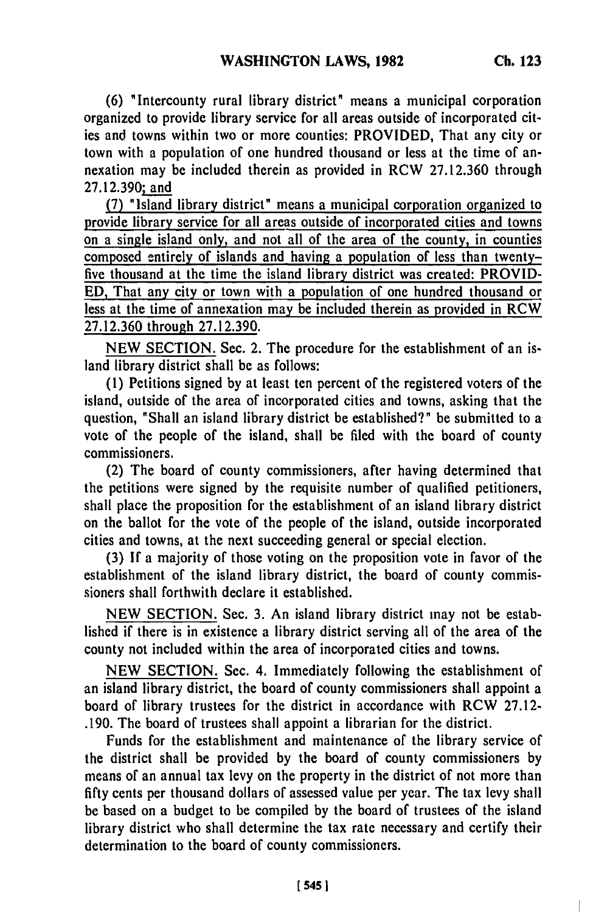**(6)** "Intercounty rural library district" means a municipal corporation organized to provide library service for all areas outside of incorporated cities and towns within two or more counties: PROVIDED, That any city or town with a population of one hundred thousand or less at the time of annexation may be included therein as provided in RCW **27.12.360** through 27.12.390; and

(7) "Island library district" means a municipal corporation organized to provide library service for all areas outside of incorporated cities and towns on a single island only, and not all of the area of the county, in counties composed entirely of islands and having a population of less than twentyfive thousand at the time the island library district was created: PROVID-**ED,** That any city or town with a population of one hundred thousand or less at the time of annexation may be included therein as provided in RCW 27.12.360 through 27.12.390.

NEW SECTION. Sec. 2. The procedure for the establishment of an island library district shall be as follows:

**(1)** Petitions signed by at least ten percent of the registered voters of the island, outside of the area of incorporated cities and towns, asking that the question, "Shall an island library district be established?" be submitted to a vote of the people of the island, shall be filed with the board of county commissioners.

(2) The board of county commissioners, after having determined that the petitions were signed by the requisite number of qualified petitioners, shall place the proposition for the establishment of an island library district on the ballot for the vote of the people of the island, outside incorporated cities and towns, at the next succeeding general or special election.

(3) **If** a majority of those voting on the proposition vote in favor of the establishment of the island library district, the board of county commissioners shall forthwith declare it established.

NEW SECTION. Sec. 3. An island library district may not be established if there is in existence a library district serving all of the area of the county not included within the area of incorporated cities and towns.

NEW SECTION. Sec. 4. Immediately following the establishment of an island library district, the board of county commissioners shall appoint a board of library trustees for the district in accordance with RCW **27.12- .190.** The board of trustees shall appoint a librarian for the district.

Funds for the establishment and maintenance of the library service of the district shall be provided by the board of county commissioners by means of an annual tax levy on the property in the district of not more than fifty cents per thousand dollars of assessed value per year. The tax levy shall be based on a budget to be compiled **by** the board of trustees of the island library district who shall determine the tax rate necessary and certify their determination to the board of county commissioners.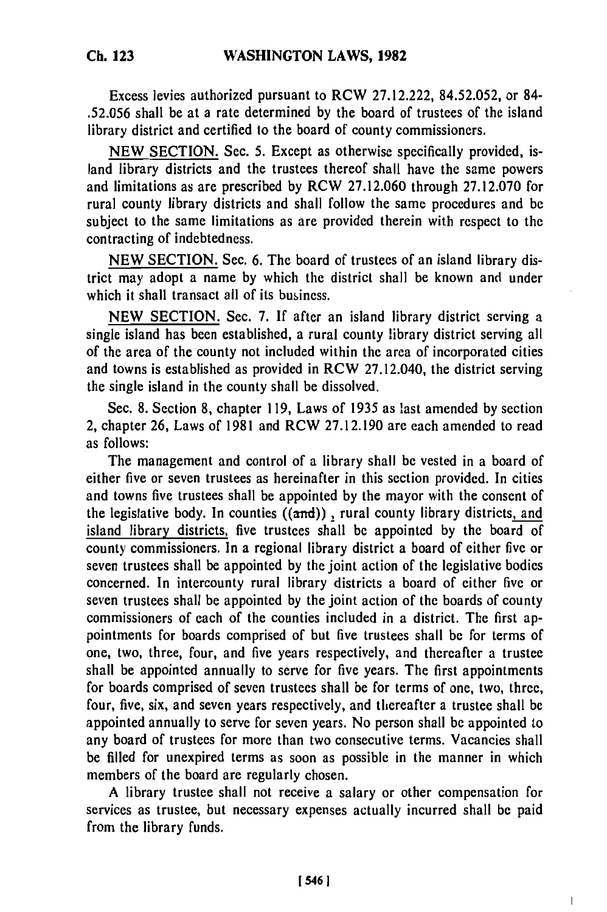Excess levies authorized pursuant to RCW **27.12.222,** 84.52.052, or 84- .52.056 shall be at a rate determined **by** the board of trustees of the island library district and certified to the board of county commissioners.

**NEW** SECTION. Sec. 5. Except as otherwise specifically provided, island library districts and the trustees thereof shall have the same powers and limitations as are prescribed **by** RCW 27.12.060 through 27.12.070 for rural county library districts and shall follow the same procedures and be subject to the same limitations as are provided therein with respect to the contracting of indebtedness.

**NEW** SECTION. Sec. 6. The board of trustees of an island library district may adopt a name **by** which the district shall be known and under which it shall transact all of its business.

**NEW** SECTION. Sec. 7. **If** after an island library district serving a single island has been established, a rural county library district serving all of the area of the county not included within the area of incorporated cities and towns is established as provided in RCW 27.12.040, the district serving the single island in the county shall be dissolved.

Sec. 8. Section **8,** chapter **119,** Laws of **1935** as last amended **by** section 2, chapter **26,** Laws of 1981 and RCW 27.12.190 are each amended to read as follows:

The management and control of a library shall be vested in a board of either five or seven trustees as hereinafter in this section provided. In cities and towns five trustees shall be appointed **by** the mayor with the consent of the legislative body. In counties **((and)) .** rural county library districts, and island library districts, five trustees shall be appointed by the board of county commissioners. In a regional library district a board of either five or seven trustees shall be appointed **by** the joint action of the legislative bodies concerned. In intercounty rural library districts a board of either five or seven trustees shall be appointed **by** the joint action of the boards of county commissioners of each of the counties included in a district. The first appointments for boards comprised of but five trustees shall be for terms of one, two, three, four, and five years respectively, and thereafter a trustee shall be appointed annually to serve for five years. The first appointments for boards comprised of seven trustees shall be for terms of one, two, three, four, five, six, and seven years respectively, and thereafter a trustee shall **be** appointed annually to serve for seven years. No person shall be appointed to any board of trustees for more than two consecutive terms. Vacancies shall be filled for unexpired terms as soon as possible in the manner in which members of the board are regularly chosen.

A library trustee shall not receive a salary or other compensation for services as trustee, but necessary expenses actually incurred shall be paid from the library funds.

L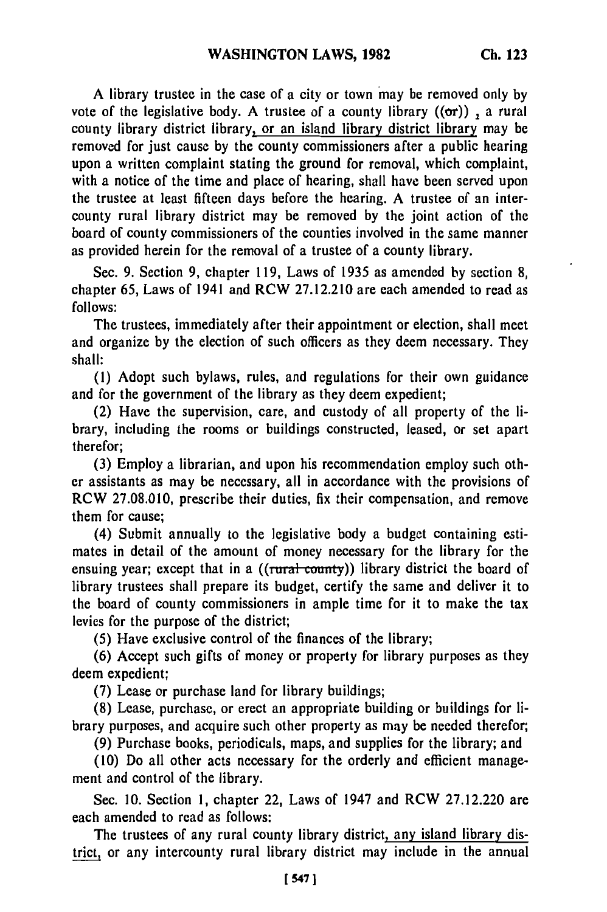**A** library trustee in the case of a city or town may be removed only **by** vote of the legislative body. A trustee of a county library  $((\sigma r))$ , a rural county library district library, or an island library district library may be removed for just cause **by** the county commissioners after a public hearing upon a written complaint stating the ground for removal, which complaint, with a notice of the time and place of hearing, shall have been served upon the trustee at least fifteen days before the hearing. A trustee of an intercounty rural library district may be removed **by** the joint action of the board of county commissioners of the counties involved in the same manner as provided herein for the removal of a trustee of a county library.

Sec. **9.** Section **9,** chapter **119,** Laws of 1935 as amended **by** section **8,** chapter **65,** Laws of 1941 and RCW **27.12.210** are each amended to read as **follows:**

The trustees, immediately after their appointment or election, shall meet and organize **by** the election of such officers as they deem necessary. They shall:

**(1)** Adopt such bylaws, rules, and regulations for their own guidance and for the government of the library as they deem expedient;

(2) Have the supervision, care, and custody of all property of the library, including the rooms or buildings constructed, leased, or set apart therefor;

**(3)** Employ a librarian, and upon his recommendation employ such other assistants as may be necessary, all in accordance with the provisions of RCW **27.08.010,** prescribe their duties, fix their compensation, and remove them for cause;

(4) Submit annually to the legislative body a budget containing estimates in detail of the amount of money necessary for the library for the ensuing year; except that in a  $((\text{rural country}))$  library district the board of library trustees shall prepare its budget, certify the same and deliver it to the board of county commissioners in ample time for it to make the tax levies for the purpose of the district;

**(5)** Have exclusive control of the finances of the library;

**(6)** Accept such gifts of money or property for library purposes as they deem expedient;

**(7)** Lease or purchase land for library buildings;

**(8)** Lease, purchase, or erect an appropriate building or buildings for library purposes, and acquire such other property as may be needed therefor;

**(9)** Purchase books, periodicals, maps, and supplies for the library; and

**(10)** Do all other acts necessary for the orderly and efficient management and control of the library.

Sec. **10.** Section **1,** chapter 22, Laws of 1947 and RCW **27.12.220** are each amended to read as follows:

The trustees of any rural county library district, any island library district, or any intercounty rural library district may include in the annual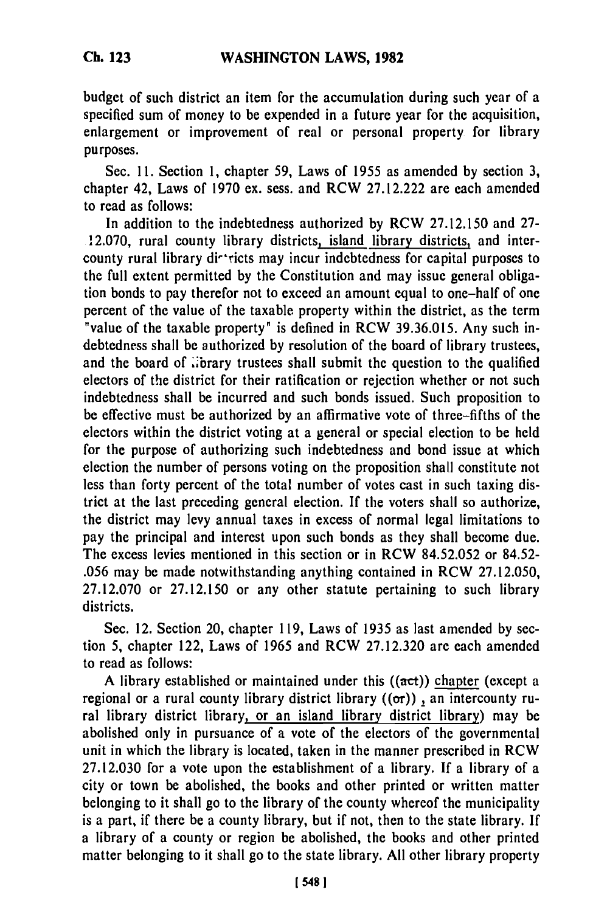budget of such district an item for the accumulation during such year of a specified sum of money to be expended in a future year for the acquisition, enlargement or improvement of real or personal property for library purposes.

Sec. 11. Section 1, chapter 59, Laws of 1955 as amended by section 3, chapter 42, Laws of 1970 ex. sess. and RCW 27.12.222 are each amended to read as follows:

In addition to the indebtedness authorized by RCW 27.12.150 and 27- 12.070, rural county library districts, island library districts, and intercounty rural library diviriets may incur indebtedness for capital purposes to the full extent permitted by the Constitution and may issue general obligation bonds to pay therefor not to exceed an amount equal to one-half of one percent of the value of the taxable property within the district, as the term "value of the taxable property" is defined in RCW 39.36.015. Any such indebtedness shall be authorized by resolution of the board of library trustees, and the board of library trustees shall submit the question to the qualified electors of the district for their ratification or rejection whether or not such indebtedness shall be incurred and such bonds issued. Such proposition to be effective must be authorized by an affirmative vote of three-fifths of the electors within the district voting at a general or special election to be held for the purpose of authorizing such indebtedness and bond issue at which election the number of persons voting on the proposition shall constitute not less than forty percent of the total number of votes cast in such taxing district at the last preceding general election. If the voters shall so authorize, the district may levy annual taxes in excess of normal legal limitations to pay the principal and interest upon such bonds as they shall become due. The excess levies mentioned in this section or in RCW 84.52.052 or 84.52- .056 may be made notwithstanding anything contained in RCW 27.12.050, 27.12.070 or 27.12.150 or any other statute pertaining to such library districts.

Sec. 12. Section 20, chapter 119, Laws of 1935 as last amended by section 5, chapter 122, Laws of 1965 and RCW 27.12.320 are each amended to read as follows:

A library established or maintained under this  $((act))$  chapter (except a regional or a rural county library district library  $((\sigma r))$ , an intercounty rural library district library, or an island library district library) may be abolished only in pursuance of a vote of the electors of the governmental unit in which the library is located, taken in the manner prescribed in RCW 27.12.030 for a vote upon the establishment of a library. If a library of a city or town be abolished, the books and other printed or written matter belonging to it shall go to the library of the county whereof the municipality is a part, if there be a county library, but if not, then to the state library. If a library of a county or region be abolished, the books and other printed matter belonging to it shall go to the state library. All other library property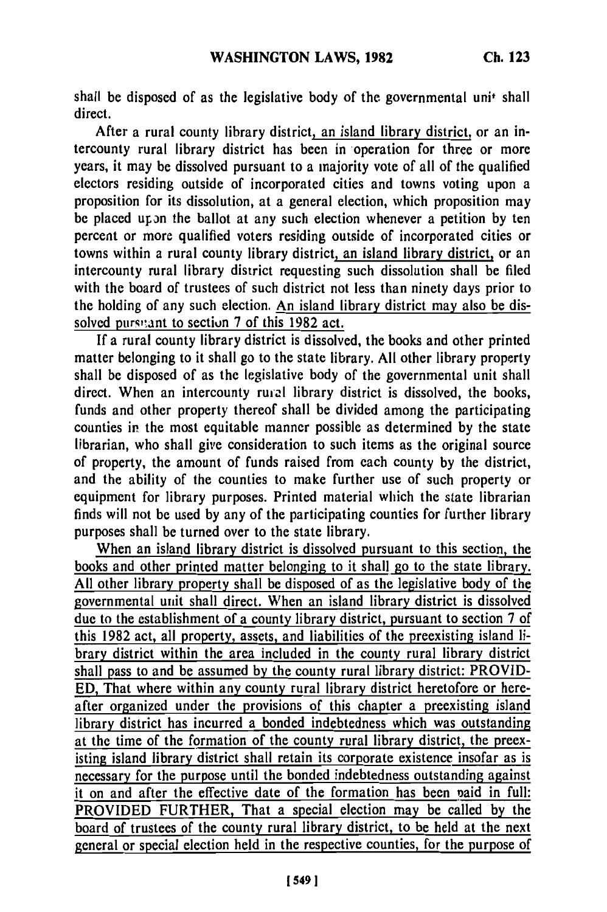shall be disposed of as the legislative body of the governmental unit shall direct.

After a rural county library district, an island library district, or an intercounty rural library district has been in operation for three or more years, it may be dissolved pursuant to a majority vote of all of the qualified electors residing outside of incorporated cities and towns voting upon a proposition for its dissolution, at a general election, which proposition may be placed upon the ballot at any such election whenever a petition by ten percent or more qualified voters residing outside of incorporated cities or towns within a rural county library district, an island library district, or an intercounty rural library district requesting such dissolution shall be filed with the board of trustees of such district not less than ninety days prior to the holding of any such election. An island library district may also be dissolved pursuant to section 7 of this 1982 act.

**If** a rural county library district is dissolved, the books and other printed matter belonging to it shall go to the state library. **All** other library property shall be disposed of as the legislative body of the governmental unit shall direct. When an intercounty ruial library district is dissolved, the books, funds and other property thereof shall be divided among the participating counties in the most equitable manner possible as determined **by** the state librarian, who shall give consideration to such items as the original source of property, the amount of funds raised from each county **by** the district, and the ability of the counties to make further use of such property or equipment for library purposes. Printed material which the state librarian finds will not **be** used **by** any of the participating counties for further library purposes shall be turned over to the state library.

When an island library district is dissolved pursuant to this section, the books and other printed matter belonging to it shall go to the state library. **All** other library property shall be disposed of as the legislative body of the governmental unit shall direct. When an island library district is dissolved due to the establishment of a county library district, pursuant to section 7 of this 1982 act, all property, assets, and liabilities of the preexisting island library district within the area included in the county rural library district shall pass to and be assumed **by** the county rural library district: PROVID-ED, That where within any county rural library district heretofore or hereafter organized under the provisions of this chapter a preexisting island library district has incurred a bonded indebtedness which was outstanding at the time of the formation of the county rural library district, the preexisting island library district shall retain its corporate existence insofar as is necessary for the purpose until the bonded indebtedness outstanding against it on and after the effective date of the formation has been oaid in full: PROVIDED FURTHER, That a special election may be called **by** the board of trustees of the county rural library district, to be held at the next general or special election held in the respective counties, for the purpose of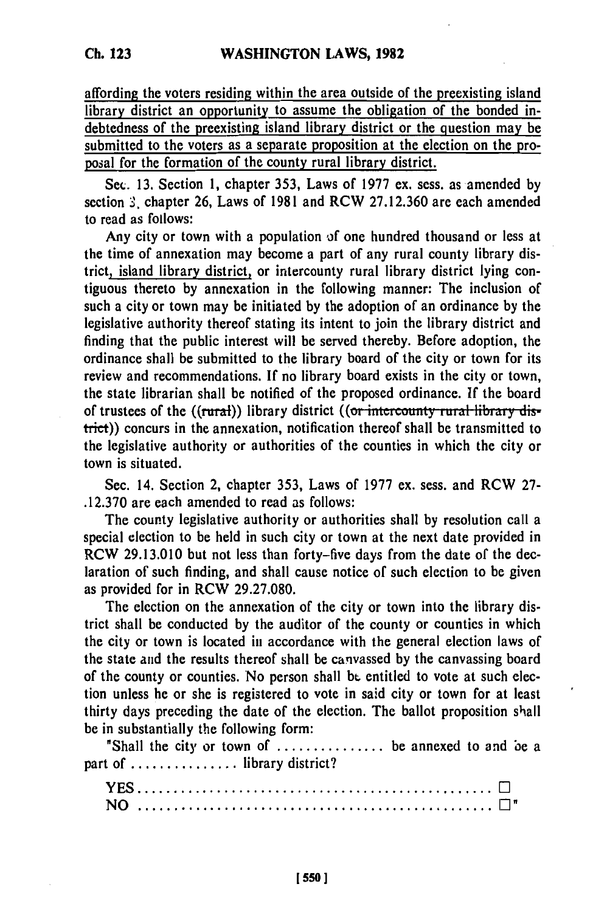affording the voters residing within the area outside of the preexisting island library district an opportunity to assume the obligation of the bonded indebtedness of the preexisting island library district or the question may be submitted to the voters as a separate proposition at the election on the proposal for the formation of the county rural library district.

Sec. **13.** Section **1,** chapter **353,** Laws of **1977** ex. scss. as amended **by** section **3.** chapter **26,** Laws of **1981** and RCW **27.12.360** are each amended to read as follows:

Any city or town with a population **of** one hundred thousand or less at the time of annexation may become a part of any rural county library district, island library district, or intercounty rural library district lying contiguous thereto **by** annexation in the following manner: The inclusion of such a city or town may be initiated **by** the adoption of an ordinance **by** the legislative authority thereof stating its intent to join the library district and finding that the public interest will be served thereby. Before adoption, the ordinance shall be submitted to the library board of the city or town for its review and recommendations. If no library board exists in the city or town, the state librarian shall be notified of the proposed ordinance. **If** the board of trustees of the  $((\text{rurat}))$  library district  $((\text{or intercounty rural-library dis-})$ trict)) concurs in the annexation, notification thereof shall be transmitted to the legislative authority or authorities of the counties in which the city or town is situated.

Sec. 14. Section 2, chapter **353,** Laws of **1977** ex. sess. and RCW **27- .12.370** are each amended to read as follows:

The county legislative authority or authorities shall **by** resolution call a special election to be held in such city or town at the next date provided in RCW **29.13.010** but not less than forty-five days from the date of the declaration of such finding, and shall cause notice of such election to be given as provided for in RCW **29.27.080.**

The election on the annexation of the city or town into the library district shall be conducted **by** the auditor of the county or counties in which the city or town is located **in** accordance with the general election laws of the state and the results thereof shall be canvassed **by** the canvassing board of the county or counties. No person shall bt entitled to vote at such election unless he **or** she is registered to vote in said city or town for at least thirty days preceding the date of the election. The ballot proposition shall be in substantially the following form:

"Shall the city or town of ............... be annexed to and **be** a part of ............... library district?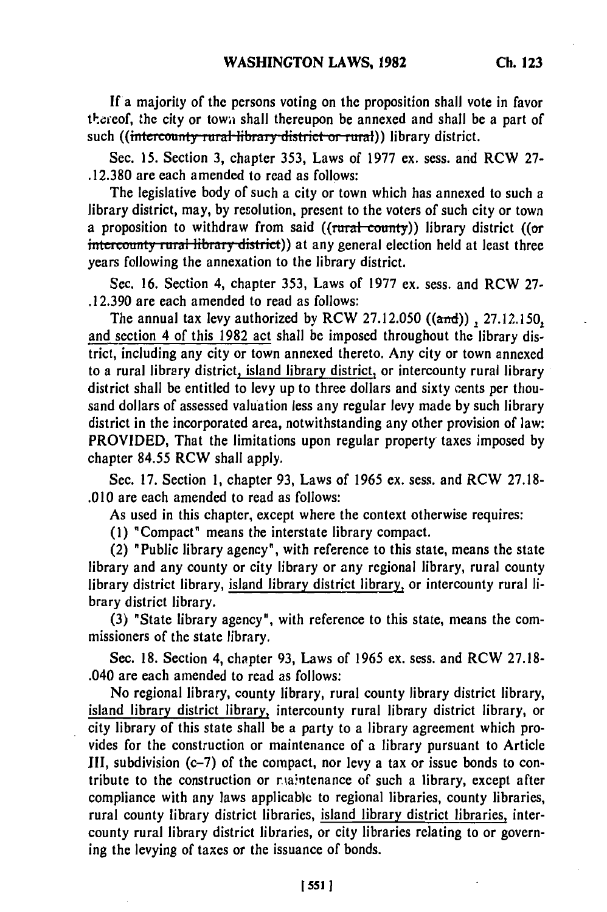**If** a majority of the persons voting on the proposition shall vote in favor thereof, the city or town shall thereupon be annexed and shall be a part of such ((intercounty rural library district or rural)) library district.

Sec. **15.** Section **3,** chapter **353,** Laws of **1977** ex. sess. and RCW **27- .12.380** are each amended to read as follows:

The legislative body of such a city or town which has annexed to such a library district, may, **by** resolution, present to the voters of such city or town a proposition to withdraw from said (( $\frac{1}{\text{turl}}$  county)) library district ((or **intercounty rural library district**)) at any general election held at least three years following the annexation to the library district.

Sec. **16.** Section 4, chapter **353,** Laws of **1977** ex. sess. and RCW **27-** .12.390 are each amended to read as follows:

The annual tax levy authorized **by** RCW 27.12.050 ((and)) **,** 27.12.150, and section 4 of this 1982 act shall be imposed throughout the library district, including any city or town annexed thereto. Any city or town annexed to a rural library district, island library district, or intercounty rural library district shall be entitled to levy up to three dollars and sixty cents per thousand dollars of assessed valuation less any regular levy made **by** such library district in the incorporated area, notwithstanding any other provision of law: PROVIDED, That the limitations upon regular property taxes imposed **by** chapter 84.55 RCW shall apply.

Sec. 17. Section **1,** chapter **93,** Laws of 1965 ex. sess. and RCW **27.18-** .010 are each amended to read as follows:

As used in this chapter, except where the context otherwise requires:

(1) "Compact" means the interstate library compact.

(2) "Public library agency", with reference to this state, means the state library and any county or city library or any regional library, rural county library district library, island library district library, or intercounty rural library district library.

**(3)** "State library agency", with reference to this state, means the commissioners of the state library.

Sec. **18.** Section 4, chapter **93,** Laws of 1965 ex. sess. and RCW 27.18- .040 are each amended to read as follows:

No regional library, county library, rural county library district library, island library district library, intercounty rural library district library, or city library of this state shall be a party to a library agreement which provides for the construction or maintenance of a library pursuant to Article III, subdivision (c-7) of the compact, nor levy a tax or issue bonds to contribute to the construction or maintenance of such a library, except after compliance with any laws applicable to regional libraries, county libraries, rural county library district libraries, island library district libraries, intercounty rural library district libraries, or city libraries relating to or governing the levying of taxes or the issuance of bonds.